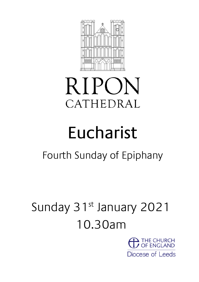

# **RIPON** CATHEDRAL

# Eucharist

# Fourth Sunday of Epiphany

# Sunday 31st January 2021 10.30am

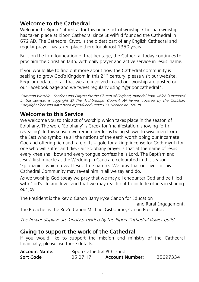#### **Welcome to the Cathedral**

Welcome to Ripon Cathedral for this online act of worship. Christian worship has taken place at Ripon Cathedral since St Wilfrid founded the Cathedral in 672 AD. The Cathedral Crypt, is the oldest part of any English Cathedral and regular prayer has taken place there for almost 1350 years.

Built on the firm foundation of that heritage, the Cathedral today continues to proclaim the Christian faith, with daily prayer and active service in Jesus' name.

If you would like to find out more about how the Cathedral community is seeking to grow God's Kingdom in this  $21<sup>st</sup>$  century, please visit our website. Regular updates of all that we are involved in and our worship are posted on our Facebook page and we tweet regularly using "@riponcathedral".

Common Worship: Services and Prayers for the Church of England, material from which is included in this service, is copyright © The Archbishops' Council. All hymns covered by the Christian Copyright Licensing have been reproduced under CCL Licence no 97098.

#### **Welcome to this Service**

We welcome you to this act of worship which takes place in the season of Epiphany. The word 'Epiphany' is Greek for 'manifestation, showing forth, revealing'. In this season we remember Jesus being shown to wise men from the East who symbolise all the nations of the earth worshipping our Incarnate God and offering rich and rare gifts – gold for a king; incense for God; myrrh for one who will suffer and die. Our Epiphany prayer is that at the name of Jesus every knee shall bow and every tongue confess he is Lord. The Baptism and Jesus' first miracle at the Wedding in Cana are celebrated in this season – 'Epiphanies' which reveal Jesus' true nature. We pray that our lives in this Cathedral Community may reveal him in all we say and do.

As we worship God today we pray that we may all encounter God and be filled with God's life and love, and that we may reach out to include others in sharing our joy.

The President is the Rev'd Canon Barry Pyke Canon for Education

and Rural Engagement.

The Preacher is the Rev'd Canon Michael Gisbourne, Canon Precentor.

The flower displays are kindly provided by the Ripon Cathedral flower guild.

#### **Giving to support the work of the Cathedral**

If you would like to support the mission and ministry of the Cathedral financially, please use these details.

| <b>Account Name:</b> | Ripon Cathedral PCC Fund |                        |          |
|----------------------|--------------------------|------------------------|----------|
| Sort Code            | 05 07 17                 | <b>Account Number:</b> | 35697334 |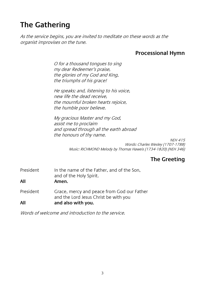# **The Gathering**

As the service begins, you are invited to meditate on these words as the organist improvises on the tune.

#### **Processional Hymn**

O for a thousand tongues to sing my dear Redeemer's praise, the glories of my God and King, the triumphs of his grace!

He speaks; and, listening to his voice, new life the dead receive, the mournful broken hearts rejoice, the humble poor believe.

My gracious Master and my God, assist me to proclaim and spread through all the earth abroad the honours of thy name.

> NEH 415 Words: Charles Wesley (1707-1788) Music: RICHMOND Melody by Thomas Haweis (1734-1820) (NEH 346)

#### **The Greeting**

President In the name of the Father, and of the Son, and of the Holy Spirit. **All Amen.** President Grace, mercy and peace from God our Father and the Lord Jesus Christ be with you **All and also with you.**

Words of welcome and introduction to the service.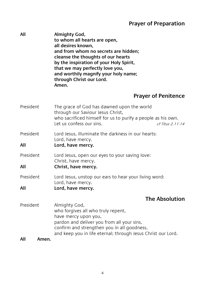#### **Prayer of Preparation**

**All Almighty God, to whom all hearts are open, all desires known, and from whom no secrets are hidden; cleanse the thoughts of our hearts by the inspiration of your Holy Spirit, that we may perfectly love you, and worthily magnify your holy name; through Christ our Lord. Amen.**

#### **Prayer of Penitence**

| President        | The grace of God has dawned upon the world<br>through our Saviour Jesus Christ,<br>who sacrificed himself for us to purify a people as his own.<br>Let us confess our sins.<br>$cf$ Titus 2.11-14                                        |
|------------------|------------------------------------------------------------------------------------------------------------------------------------------------------------------------------------------------------------------------------------------|
| President<br>All | Lord Jesus, illuminate the darkness in our hearts:<br>Lord, have mercy.<br>Lord, have mercy.                                                                                                                                             |
| President<br>All | Lord Jesus, open our eyes to your saving love:<br>Christ, have mercy.<br>Christ, have mercy.                                                                                                                                             |
| President<br>All | Lord Jesus, unstop our ears to hear your living word:<br>Lord, have mercy.<br>Lord, have mercy.                                                                                                                                          |
|                  | <b>The Absolution</b>                                                                                                                                                                                                                    |
| President        | Almighty God,<br>who forgives all who truly repent,<br>have mercy upon you,<br>pardon and deliver you from all your sins,<br>confirm and strengthen you in all goodness,<br>and keep you in life eternal; through Jesus Christ our Lord. |

#### **All Amen.**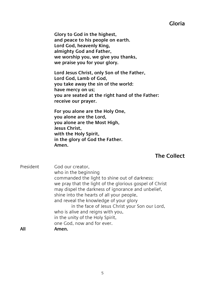#### **Gloria**

**Glory to God in the highest, and peace to his people on earth. Lord God, heavenly King, almighty God and Father, we worship you, we give you thanks, we praise you for your glory.**

**Lord Jesus Christ, only Son of the Father, Lord God, Lamb of God, you take away the sin of the world: have mercy on us; you are seated at the right hand of the Father: receive our prayer.**

**For you alone are the Holy One, you alone are the Lord, you alone are the Most High, Jesus Christ, with the Holy Spirit, in the glory of God the Father. Amen.**

#### **The Collect**

| President | God our creator,                                        |
|-----------|---------------------------------------------------------|
|           | who in the beginning                                    |
|           | commanded the light to shine out of darkness:           |
|           | we pray that the light of the glorious gospel of Christ |
|           | may dispel the darkness of ignorance and unbelief,      |
|           | shine into the hearts of all your people,               |
|           | and reveal the knowledge of your glory                  |
|           | in the face of Jesus Christ your Son our Lord,          |
|           | who is alive and reigns with you,                       |
|           | in the unity of the Holy Spirit,                        |
|           | one God, now and for ever.                              |
| All       | Amen.                                                   |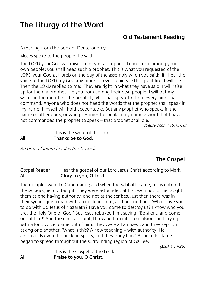## **The Liturgy of the Word**

#### **Old Testament Reading**

A reading from the book of Deuteronomy.

Moses spoke to the people; he said:

The LORD your God will raise up for you a prophet like me from among your own people; you shall heed such a prophet. This is what you requested of the LORD your God at Horeb on the day of the assembly when you said: 'If I hear the voice of the LORD my God any more, or ever again see this great fire, I will die.' Then the LORD replied to me: 'They are right in what they have said. I will raise up for them a prophet like you from among their own people; I will put my words in the mouth of the prophet, who shall speak to them everything that I command. Anyone who does not heed the words that the prophet shall speak in my name, I myself will hold accountable. But any prophet who speaks in the name of other gods, or who presumes to speak in my name a word that I have not commanded the prophet to speak – that prophet shall die.'

(Deuteronomy 18.15-20)

This is the word of the Lord. All **Thanks be to God.**

An organ fanfare heralds the Gospel.

#### **The Gospel**

Gospel Reader Hear the gospel of our Lord Jesus Christ according to Mark. **All Glory to you, O Lord.**

The disciples went to Capernaum; and when the sabbath came, Jesus entered the synagogue and taught. They were astounded at his teaching, for he taught them as one having authority, and not as the scribes. Just then there was in their synagogue a man with an unclean spirit, and he cried out, 'What have you to do with us, Jesus of Nazareth? Have you come to destroy us? I know who you are, the Holy One of God.' But Jesus rebuked him, saying, 'Be silent, and come out of him!' And the unclean spirit, throwing him into convulsions and crying with a loud voice, came out of him. They were all amazed, and they kept on asking one another, 'What is this? A new teaching – with authority! He commands even the unclean spirits, and they obey him.' At once his fame began to spread throughout the surrounding region of Galilee.

(Mark 1.21-28)

This is the Gospel of the Lord. **All Praise to you, O Christ**.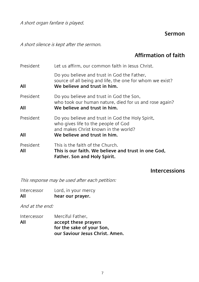A short organ fanfare is played.

#### **Sermon**

A short silence is kept after the sermon.

#### **Affirmation of faith**

| President        | Let us affirm, our common faith in Jesus Christ.                                                                                        |
|------------------|-----------------------------------------------------------------------------------------------------------------------------------------|
| All              | Do you believe and trust in God the Father,<br>source of all being and life, the one for whom we exist?<br>We believe and trust in him. |
| President        | Do you believe and trust in God the Son,<br>who took our human nature, died for us and rose again?                                      |
| All              | We believe and trust in him.                                                                                                            |
| President        | Do you believe and trust in God the Holy Spirit,<br>who gives life to the people of God<br>and makes Christ known in the world?         |
| All              | We believe and trust in him.                                                                                                            |
| President<br>All | This is the faith of the Church.<br>This is our faith. We believe and trust in one God,<br>Father. Son and Holy Spirit.                 |

#### **Intercessions**

This response may be used after each petition:

| All         | hear our prayer.    |
|-------------|---------------------|
| Intercessor | Lord, in your mercy |

And at the end:

| Intercessor | Merciful Father,                |
|-------------|---------------------------------|
| All         | accept these prayers            |
|             | for the sake of your Son,       |
|             | our Saviour Jesus Christ. Amen. |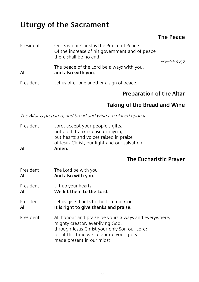## **Liturgy of the Sacrament**

#### **The Peace**

| President | Our Saviour Christ is the Prince of Peace.<br>Of the increase of his government and of peace<br>there shall be no end. | cf Isaiah 9.6.7 |
|-----------|------------------------------------------------------------------------------------------------------------------------|-----------------|
| All       | The peace of the Lord be always with you.<br>and also with you.                                                        |                 |
| President | Let us offer one another a sign of peace.                                                                              |                 |

#### **Preparation of the Altar**

#### **Taking of the Bread and Wine**

The Altar is prepared, and bread and wine are placed upon it.

| All       | Amen.                                         |
|-----------|-----------------------------------------------|
|           | of Jesus Christ, our light and our salvation. |
|           | but hearts and voices raised in praise        |
|           | not gold, frankincense or myrrh,              |
| President | Lord, accept your people's gifts,             |

#### **The Eucharistic Prayer**

- President The Lord be with you **All And also with you.**
- President Lift up your hearts. **All We lift them to the Lord.**
- President Let us give thanks to the Lord our God. **All It is right to give thanks and praise.**
- President All honour and praise be yours always and everywhere, mighty creator, ever-living God, through Jesus Christ your only Son our Lord: for at this time we celebrate your glory made present in our midst.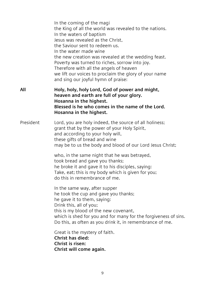|           | In the coming of the magi<br>the King of all the world was revealed to the nations.<br>In the waters of baptism<br>Jesus was revealed as the Christ,<br>the Saviour sent to redeem us.<br>In the water made wine<br>the new creation was revealed at the wedding feast.<br>Poverty was turned to riches, sorrow into joy.<br>Therefore with all the angels of heaven<br>we lift our voices to proclaim the glory of your name<br>and sing our joyful hymn of praise: |
|-----------|----------------------------------------------------------------------------------------------------------------------------------------------------------------------------------------------------------------------------------------------------------------------------------------------------------------------------------------------------------------------------------------------------------------------------------------------------------------------|
| All       | Holy, holy, holy Lord, God of power and might,<br>heaven and earth are full of your glory.<br>Hosanna in the highest.<br>Blessed is he who comes in the name of the Lord.<br>Hosanna in the highest.                                                                                                                                                                                                                                                                 |
| President | Lord, you are holy indeed, the source of all holiness;<br>grant that by the power of your Holy Spirit,<br>and according to your holy will,<br>these gifts of bread and wine<br>may be to us the body and blood of our Lord Jesus Christ;                                                                                                                                                                                                                             |
|           | who, in the same night that he was betrayed,<br>took bread and gave you thanks;<br>he broke it and gave it to his disciples, saying:<br>Take, eat; this is my body which is given for you;<br>do this in remembrance of me.                                                                                                                                                                                                                                          |
|           | In the same way, after supper<br>he took the cup and gave you thanks;<br>he gave it to them, saying:<br>Drink this, all of you;<br>this is my blood of the new covenant,<br>which is shed for you and for many for the forgiveness of sins.<br>Do this, as often as you drink it, in remembrance of me.                                                                                                                                                              |
|           | Great is the mystery of faith.<br>Christ has died:<br>Christ is risen:<br>Christ will come again.                                                                                                                                                                                                                                                                                                                                                                    |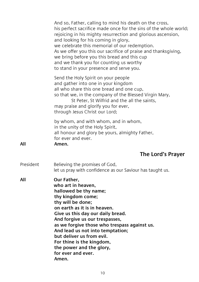|           | And so, Father, calling to mind his death on the cross,<br>his perfect sacrifice made once for the sins of the whole world;<br>rejoicing in his mighty resurrection and glorious ascension,<br>and looking for his coming in glory,<br>we celebrate this memorial of our redemption.<br>As we offer you this our sacrifice of praise and thanksgiving,<br>we bring before you this bread and this cup<br>and we thank you for counting us worthy<br>to stand in your presence and serve you. |
|-----------|----------------------------------------------------------------------------------------------------------------------------------------------------------------------------------------------------------------------------------------------------------------------------------------------------------------------------------------------------------------------------------------------------------------------------------------------------------------------------------------------|
|           | Send the Holy Spirit on your people<br>and gather into one in your kingdom<br>all who share this one bread and one cup,<br>so that we, in the company of the Blessed Virgin Mary,<br>St Peter, St Wilfrid and the all the saints,<br>may praise and glorify you for ever,<br>through Jesus Christ our Lord;                                                                                                                                                                                  |
| All       | by whom, and with whom, and in whom,<br>in the unity of the Holy Spirit,<br>all honour and glory be yours, almighty Father,<br>for ever and ever.<br>Amen.                                                                                                                                                                                                                                                                                                                                   |
|           | The Lord's Prayer                                                                                                                                                                                                                                                                                                                                                                                                                                                                            |
| President | Believing the promises of God,<br>let us pray with confidence as our Saviour has taught us.                                                                                                                                                                                                                                                                                                                                                                                                  |
| All       | Our Father,<br>who art in heaven.<br>hallowed be thy name;<br>thy kingdom come;<br>thy will be done;<br>on earth as it is in heaven.<br>Give us this day our daily bread.<br>And forgive us our trespasses,<br>as we forgive those who trespass against us.<br>And lead us not into temptation;<br>but deliver us from evil.<br>For thine is the kingdom,<br>the power and the glory,<br>for ever and ever.<br>Amen.                                                                         |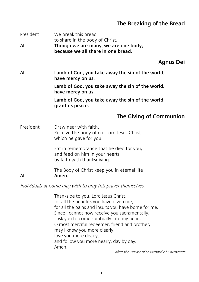#### **The Breaking of the Bread**

| President | We break this bread<br>to share in the body of Christ.                                                    |
|-----------|-----------------------------------------------------------------------------------------------------------|
| All       | Though we are many, we are one body,<br>because we all share in one bread.                                |
|           | <b>Agnus Dei</b>                                                                                          |
| All       | Lamb of God, you take away the sin of the world,<br>have mercy on us.                                     |
|           | Lamb of God, you take away the sin of the world,<br>have mercy on us.                                     |
|           | Lamb of God, you take away the sin of the world,<br>grant us peace.                                       |
|           | The Giving of Communion                                                                                   |
| President | Draw near with faith.<br>Receive the body of our Lord Jesus Christ<br>which he gave for you,              |
|           | Eat in remembrance that he died for you,<br>and feed on him in your hearts<br>by faith with thanksgiving. |
| All       | The Body of Christ keep you in eternal life<br>Amen.                                                      |
|           | Individuals at home may wish to pray this prayer themselves.                                              |

Thanks be to you, Lord Jesus Christ, for all the benefits you have given me, for all the pains and insults you have borne for me. Since I cannot now receive you sacramentally, I ask you to come spiritually into my heart. O most merciful redeemer, friend and brother, may I know you more clearly, love you more dearly, and follow you more nearly, day by day. Amen.

after the Prayer of St Richard of Chichester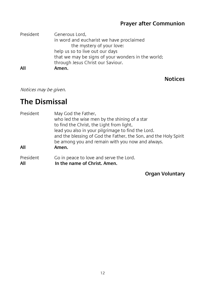#### **Prayer after Communion**

| President | Generous Lord,                                     |
|-----------|----------------------------------------------------|
|           | in word and eucharist we have proclaimed           |
|           | the mystery of your love:                          |
|           | help us so to live out our days                    |
|           | that we may be signs of your wonders in the world; |
|           | through Jesus Christ our Saviour.                  |
| All       | Amen.                                              |

#### **Notices**

Notices may be given.

## **The Dismissal**

| President        | May God the Father,<br>who led the wise men by the shining of a star<br>to find the Christ, the Light from light,<br>lead you also in your pilgrimage to find the Lord.<br>and the blessing of God the Father, the Son, and the Holy Spirit<br>be among you and remain with you now and always. |
|------------------|-------------------------------------------------------------------------------------------------------------------------------------------------------------------------------------------------------------------------------------------------------------------------------------------------|
| All              | Amen.                                                                                                                                                                                                                                                                                           |
| President<br>All | Go in peace to love and serve the Lord.<br>In the name of Christ. Amen.                                                                                                                                                                                                                         |

#### **Organ Voluntary**